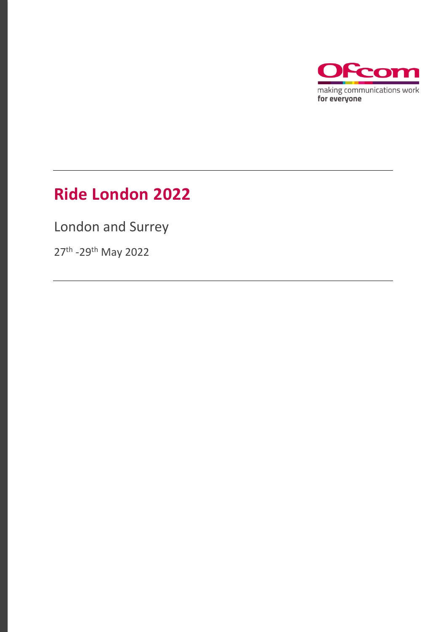

### **Ride London 2022**

London and Surrey

27<sup>th</sup> -29<sup>th</sup> May 2022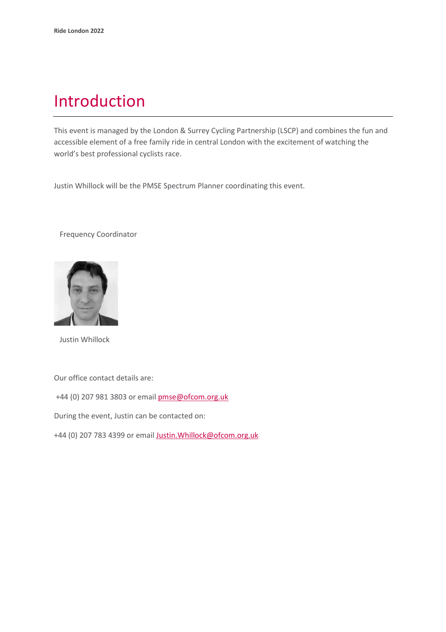### Introduction

This event is managed by the London & Surrey Cycling Partnership (LSCP) and combines the fun and accessible element of a free family ride in central London with the excitement of watching the world's best professional cyclists race.

Justin Whillock will be the PMSE Spectrum Planner coordinating this event.

Frequency Coordinator



Justin Whillock

Our office contact details are:

+44 (0) 207 981 3803 or emai[l pmse@ofcom.org.uk](mailto:pmse@ofcom.org.uk)

During the event, Justin can be contacted on:

+44 (0) 207 783 4399 or email [Justin.Whillock@ofcom.org.uk](mailto:Justin.Whillock@ofcom.org.uk)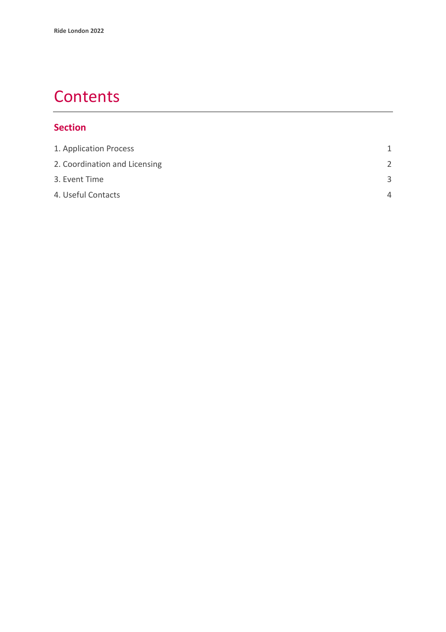### **Contents**

#### **Section**

| 1. Application Process        | 1             |
|-------------------------------|---------------|
| 2. Coordination and Licensing | $\mathcal{P}$ |
| 3. Event Time                 | З             |
| 4. Useful Contacts            | $\Delta$      |
|                               |               |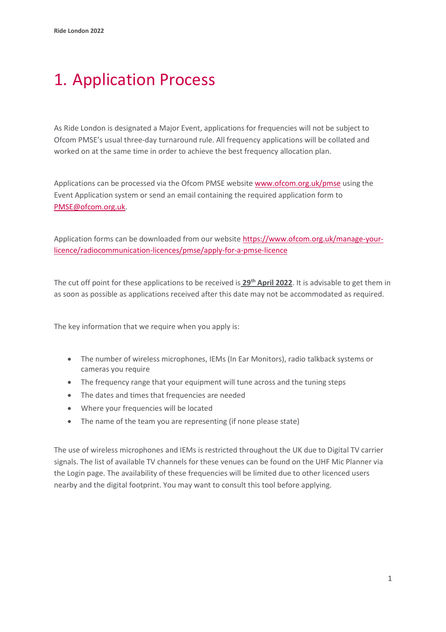## <span id="page-3-0"></span>1. Application Process

As Ride London is designated a Major Event, applications for frequencies will not be subject to Ofcom PMSE's usual three-day turnaround rule. All frequency applications will be collated and worked on at the same time in order to achieve the best frequency allocation plan.

Applications can be processed via the Ofcom PMSE website [www.ofcom.org.uk/pmse](http://www.ofcom.org.uk/pmse) using the Event Application system or send an email containing the required application form to PMSE@ofcom.org.uk.

Application forms can be downloaded from our website [https://www.ofcom.org.uk/manage-your](https://www.ofcom.org.uk/manage-your-licence/radiocommunication-licences/pmse/apply-for-a-pmse-licence)[licence/radiocommunication-licences/pmse/apply-for-a-pmse-licence](https://www.ofcom.org.uk/manage-your-licence/radiocommunication-licences/pmse/apply-for-a-pmse-licence)

The cut off point for these applications to be received is **29th April 2022**. It is advisable to get them in as soon as possible as applications received after this date may not be accommodated as required.

The key information that we require when you apply is:

- The number of wireless microphones, IEMs (In Ear Monitors), radio talkback systems or cameras you require
- The frequency range that your equipment will tune across and the tuning steps
- The dates and times that frequencies are needed
- Where your frequencies will be located
- The name of the team you are representing (if none please state)

The use of wireless microphones and IEMs is restricted throughout the UK due to Digital TV carrier signals. The list of available TV channels for these venues can be found on the UHF Mic Planner via the Login page. The availability of these frequencies will be limited due to other licenced users nearby and the digital footprint. You may want to consult this tool before applying.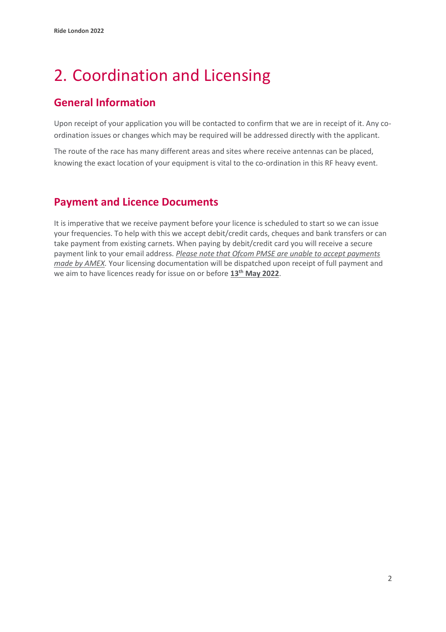# <span id="page-4-0"></span>2. Coordination and Licensing

### **General Information**

Upon receipt of your application you will be contacted to confirm that we are in receipt of it. Any coordination issues or changes which may be required will be addressed directly with the applicant.

The route of the race has many different areas and sites where receive antennas can be placed, knowing the exact location of your equipment is vital to the co-ordination in this RF heavy event.

#### **Payment and Licence Documents**

It is imperative that we receive payment before your licence is scheduled to start so we can issue your frequencies. To help with this we accept debit/credit cards, cheques and bank transfers or can take payment from existing carnets. When paying by debit/credit card you will receive a secure payment link to your email address. *Please note that Ofcom PMSE are unable to accept payments made by AMEX.* Your licensing documentation will be dispatched upon receipt of full payment and we aim to have licences ready for issue on or before **13th May 2022**.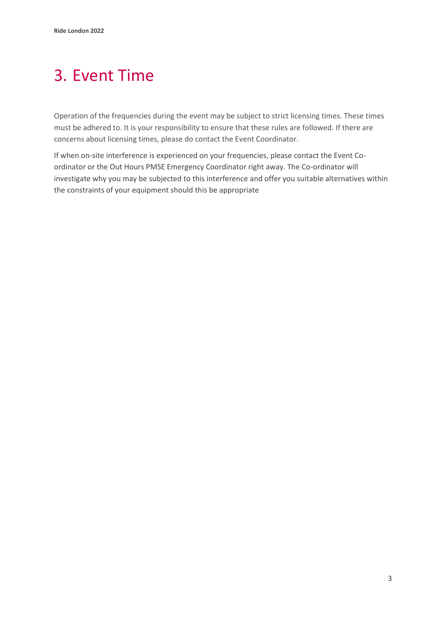# <span id="page-5-0"></span>3. Event Time

Operation of the frequencies during the event may be subject to strict licensing times. These times must be adhered to. It is your responsibility to ensure that these rules are followed. If there are concerns about licensing times, please do contact the Event Coordinator.

If when on-site interference is experienced on your frequencies, please contact the Event Coordinator or the Out Hours PMSE Emergency Coordinator right away. The Co-ordinator will investigate why you may be subjected to this interference and offer you suitable alternatives within the constraints of your equipment should this be appropriate